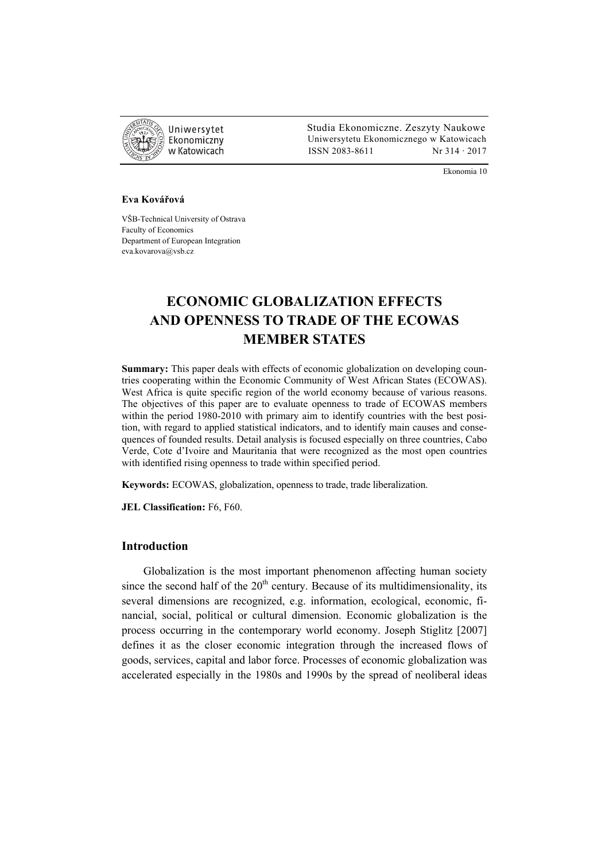

 Studia Ekonomiczne. Zeszyty Naukowe Ekonomiczny Uniwersytetu Ekonomicznego w Katowicach w Katowicach Matsus (ISSN 2083-8611 Nr 314 · 2017

Ekonomia 10

#### **Eva Kovářová**

VŠB-Technical University of Ostrava Faculty of Economics Department of European Integration eva.kovarova@vsb.cz

# **ECONOMIC GLOBALIZATION EFFECTS AND OPENNESS TO TRADE OF THE ECOWAS MEMBER STATES**

**Summary:** This paper deals with effects of economic globalization on developing countries cooperating within the Economic Community of West African States (ECOWAS). West Africa is quite specific region of the world economy because of various reasons. The objectives of this paper are to evaluate openness to trade of ECOWAS members within the period 1980-2010 with primary aim to identify countries with the best position, with regard to applied statistical indicators, and to identify main causes and consequences of founded results. Detail analysis is focused especially on three countries, Cabo Verde, Cote d'Ivoire and Mauritania that were recognized as the most open countries with identified rising openness to trade within specified period.

**Keywords:** ECOWAS, globalization, openness to trade, trade liberalization.

**JEL Classification:** F6, F60.

# **Introduction**

Globalization is the most important phenomenon affecting human society since the second half of the  $20<sup>th</sup>$  century. Because of its multidimensionality, its several dimensions are recognized, e.g. information, ecological, economic, financial, social, political or cultural dimension. Economic globalization is the process occurring in the contemporary world economy. Joseph Stiglitz [2007] defines it as the closer economic integration through the increased flows of goods, services, capital and labor force. Processes of economic globalization was accelerated especially in the 1980s and 1990s by the spread of neoliberal ideas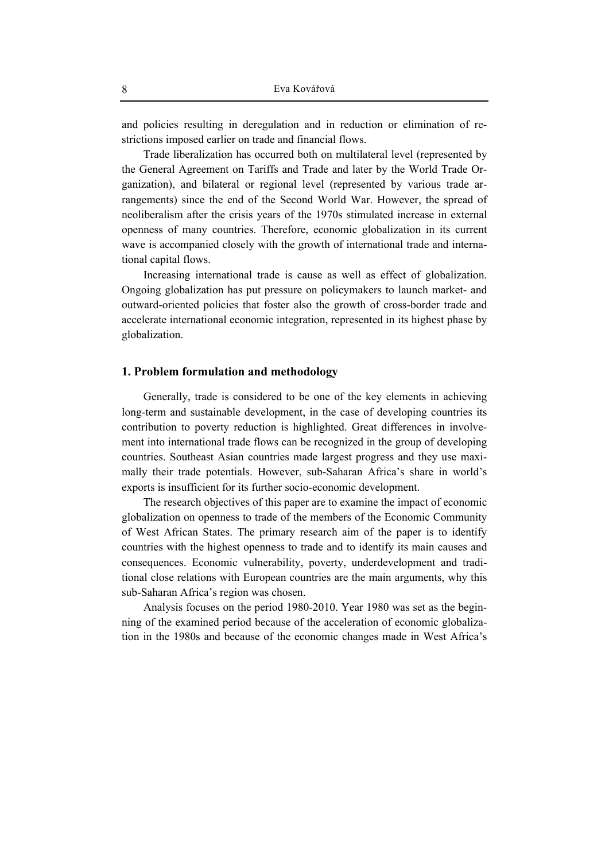and policies resulting in deregulation and in reduction or elimination of restrictions imposed earlier on trade and financial flows.

Trade liberalization has occurred both on multilateral level (represented by the General Agreement on Tariffs and Trade and later by the World Trade Organization), and bilateral or regional level (represented by various trade arrangements) since the end of the Second World War. However, the spread of neoliberalism after the crisis years of the 1970s stimulated increase in external openness of many countries. Therefore, economic globalization in its current wave is accompanied closely with the growth of international trade and international capital flows.

Increasing international trade is cause as well as effect of globalization. Ongoing globalization has put pressure on policymakers to launch market- and outward-oriented policies that foster also the growth of cross-border trade and accelerate international economic integration, represented in its highest phase by globalization.

#### **1. Problem formulation and methodology**

Generally, trade is considered to be one of the key elements in achieving long-term and sustainable development, in the case of developing countries its contribution to poverty reduction is highlighted. Great differences in involvement into international trade flows can be recognized in the group of developing countries. Southeast Asian countries made largest progress and they use maximally their trade potentials. However, sub-Saharan Africa's share in world's exports is insufficient for its further socio-economic development.

The research objectives of this paper are to examine the impact of economic globalization on openness to trade of the members of the Economic Community of West African States. The primary research aim of the paper is to identify countries with the highest openness to trade and to identify its main causes and consequences. Economic vulnerability, poverty, underdevelopment and traditional close relations with European countries are the main arguments, why this sub-Saharan Africa's region was chosen.

Analysis focuses on the period 1980-2010. Year 1980 was set as the beginning of the examined period because of the acceleration of economic globalization in the 1980s and because of the economic changes made in West Africa's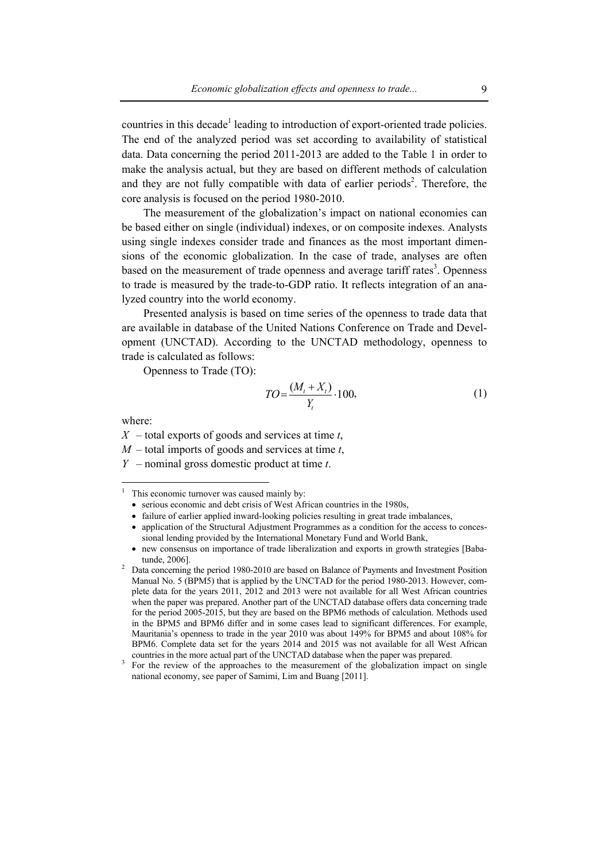countries in this decade<sup>1</sup> leading to introduction of export-oriented trade policies. The end of the analyzed period was set according to availability of statistical data. Data concerning the period 2011-2013 are added to the Table 1 in order to make the analysis actual, but they are based on different methods of calculation and they are not fully compatible with data of earlier periods<sup>2</sup>. Therefore, the core analysis is focused on the period 1980-2010.

The measurement of the globalization's impact on national economies can be based either on single (individual) indexes, or on composite indexes. Analysts using single indexes consider trade and finances as the most important dimensions of the economic globalization. In the case of trade, analyses are often based on the measurement of trade openness and average tariff rates<sup>3</sup>. Openness to trade is measured by the trade-to-GDP ratio. It reflects integration of an analyzed country into the world economy.

Presented analysis is based on time series of the openness to trade data that are available in database of the United Nations Conference on Trade and Development (UNCTAD). According to the UNCTAD methodology, openness to trade is calculated as follows:

Openness to Trade (TO):

$$
TO = \frac{(M_t + X_t)}{Y_t} \cdot 100,\tag{1}
$$

where:

*X* – total exports of goods and services at time *t*,

*M* – total imports of goods and services at time *t*,

*Y* – nominal gross domestic product at time *t*.

 $\frac{1}{1}$ This economic turnover was caused mainly by:

<sup>•</sup> serious economic and debt crisis of West African countries in the 1980s,

<sup>•</sup> failure of earlier applied inward-looking policies resulting in great trade imbalances,

<sup>•</sup> application of the Structural Adjustment Programmes as a condition for the access to concessional lending provided by the International Monetary Fund and World Bank,

<sup>•</sup> new consensus on importance of trade liberalization and exports in growth strategies [Babatunde, 2006]. 2 Data concerning the period 1980-2010 are based on Balance of Payments and Investment Position

Manual No. 5 (BPM5) that is applied by the UNCTAD for the period 1980-2013. However, complete data for the years 2011, 2012 and 2013 were not available for all West African countries when the paper was prepared. Another part of the UNCTAD database offers data concerning trade for the period 2005-2015, but they are based on the BPM6 methods of calculation. Methods used in the BPM5 and BPM6 differ and in some cases lead to significant differences. For example, Mauritania's openness to trade in the year 2010 was about 149% for BPM5 and about 108% for BPM6. Complete data set for the years 2014 and 2015 was not available for all West African countries in the more actual part of the UNCTAD database when the paper was prepared.

<sup>&</sup>lt;sup>3</sup> For the review of the approaches to the measurement of the globalization impact on single national economy, see paper of Samimi, Lim and Buang [2011].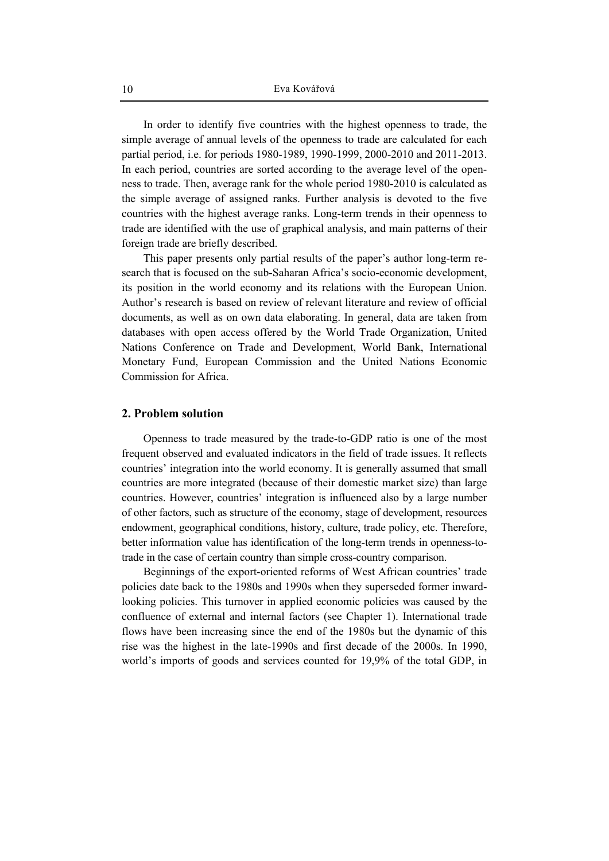In order to identify five countries with the highest openness to trade, the simple average of annual levels of the openness to trade are calculated for each partial period, i.e. for periods 1980-1989, 1990-1999, 2000-2010 and 2011-2013. In each period, countries are sorted according to the average level of the openness to trade. Then, average rank for the whole period 1980-2010 is calculated as the simple average of assigned ranks. Further analysis is devoted to the five countries with the highest average ranks. Long-term trends in their openness to trade are identified with the use of graphical analysis, and main patterns of their foreign trade are briefly described.

This paper presents only partial results of the paper's author long-term research that is focused on the sub-Saharan Africa's socio-economic development, its position in the world economy and its relations with the European Union. Author's research is based on review of relevant literature and review of official documents, as well as on own data elaborating. In general, data are taken from databases with open access offered by the World Trade Organization, United Nations Conference on Trade and Development, World Bank, International Monetary Fund, European Commission and the United Nations Economic Commission for Africa.

# **2. Problem solution**

Openness to trade measured by the trade-to-GDP ratio is one of the most frequent observed and evaluated indicators in the field of trade issues. It reflects countries' integration into the world economy. It is generally assumed that small countries are more integrated (because of their domestic market size) than large countries. However, countries' integration is influenced also by a large number of other factors, such as structure of the economy, stage of development, resources endowment, geographical conditions, history, culture, trade policy, etc. Therefore, better information value has identification of the long-term trends in openness-totrade in the case of certain country than simple cross-country comparison.

Beginnings of the export-oriented reforms of West African countries' trade policies date back to the 1980s and 1990s when they superseded former inwardlooking policies. This turnover in applied economic policies was caused by the confluence of external and internal factors (see Chapter 1). International trade flows have been increasing since the end of the 1980s but the dynamic of this rise was the highest in the late-1990s and first decade of the 2000s. In 1990, world's imports of goods and services counted for 19,9% of the total GDP, in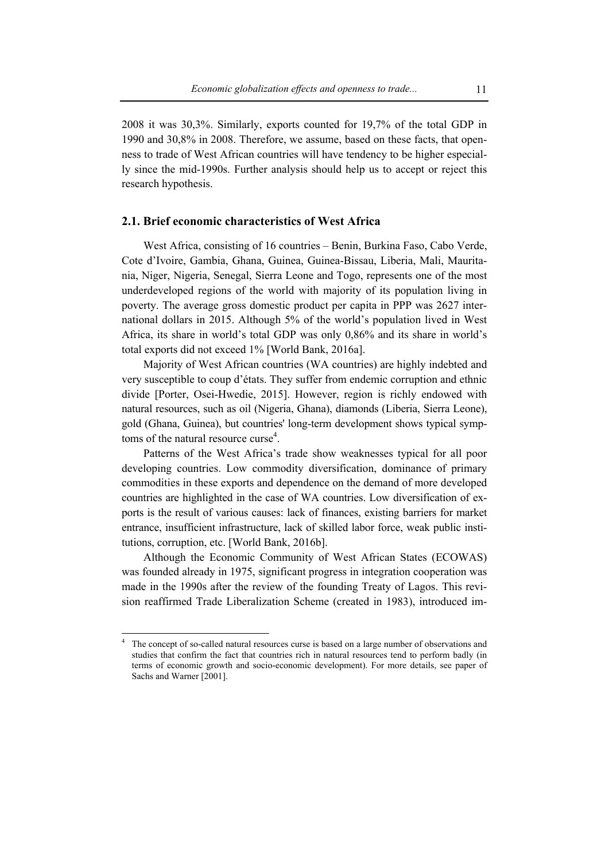2008 it was 30,3%. Similarly, exports counted for 19,7% of the total GDP in 1990 and 30,8% in 2008. Therefore, we assume, based on these facts, that openness to trade of West African countries will have tendency to be higher especially since the mid-1990s. Further analysis should help us to accept or reject this research hypothesis.

# **2.1. Brief economic characteristics of West Africa**

West Africa, consisting of 16 countries – Benin, Burkina Faso, Cabo Verde, Cote d'Ivoire, Gambia, Ghana, Guinea, Guinea-Bissau, Liberia, Mali, Mauritania, Niger, Nigeria, Senegal, Sierra Leone and Togo, represents one of the most underdeveloped regions of the world with majority of its population living in poverty. The average gross domestic product per capita in PPP was 2627 international dollars in 2015. Although 5% of the world's population lived in West Africa, its share in world's total GDP was only 0,86% and its share in world's total exports did not exceed 1% [World Bank, 2016a].

Majority of West African countries (WA countries) are highly indebted and very susceptible to coup d'états. They suffer from endemic corruption and ethnic divide [Porter, Osei-Hwedie, 2015]. However, region is richly endowed with natural resources, such as oil (Nigeria, Ghana), diamonds (Liberia, Sierra Leone), gold (Ghana, Guinea), but countries' long-term development shows typical symptoms of the natural resource curse<sup>4</sup>.

Patterns of the West Africa's trade show weaknesses typical for all poor developing countries. Low commodity diversification, dominance of primary commodities in these exports and dependence on the demand of more developed countries are highlighted in the case of WA countries. Low diversification of exports is the result of various causes: lack of finances, existing barriers for market entrance, insufficient infrastructure, lack of skilled labor force, weak public institutions, corruption, etc. [World Bank, 2016b].

Although the Economic Community of West African States (ECOWAS) was founded already in 1975, significant progress in integration cooperation was made in the 1990s after the review of the founding Treaty of Lagos. This revision reaffirmed Trade Liberalization Scheme (created in 1983), introduced im-

 $\overline{a}$ 

<sup>4</sup> The concept of so-called natural resources curse is based on a large number of observations and studies that confirm the fact that countries rich in natural resources tend to perform badly (in terms of economic growth and socio-economic development). For more details, see paper of Sachs and Warner [2001].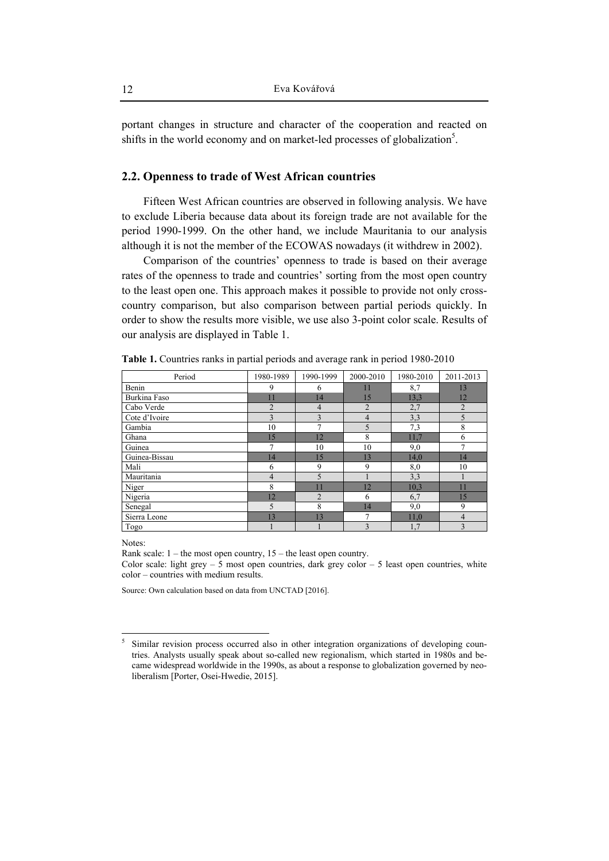portant changes in structure and character of the cooperation and reacted on shifts in the world economy and on market-led processes of globalization<sup>5</sup>.

# **2.2. Openness to trade of West African countries**

Fifteen West African countries are observed in following analysis. We have to exclude Liberia because data about its foreign trade are not available for the period 1990-1999. On the other hand, we include Mauritania to our analysis although it is not the member of the ECOWAS nowadays (it withdrew in 2002).

Comparison of the countries' openness to trade is based on their average rates of the openness to trade and countries' sorting from the most open country to the least open one. This approach makes it possible to provide not only crosscountry comparison, but also comparison between partial periods quickly. In order to show the results more visible, we use also 3-point color scale. Results of our analysis are displayed in Table 1.

| Period        | 1980-1989      | 1990-1999      | 2000-2010      | 1980-2010 | 2011-2013      |
|---------------|----------------|----------------|----------------|-----------|----------------|
| Benin         | 9              | 6              | 11             | 8,7       | 13             |
| Burkina Faso  | 11             | 14             | 15             | 13,3      | 12             |
| Cabo Verde    | $\overline{2}$ | 4              | $\overline{2}$ | 2,7       | $\overline{2}$ |
| Cote d'Ivoire | 3              | 3              | 4              | 3,3       | 5              |
| Gambia        | 10             | 7              | 5              | 7,3       | 8              |
| Ghana         | 15             | 12             | 8              | 11,7      | 6              |
| Guinea        | $\overline{7}$ | 10             | 10             | 9,0       | 7              |
| Guinea-Bissau | 14             | 15             | 13             | 14,0      | 14             |
| Mali          | 6              | 9              | 9              | 8,0       | 10             |
| Mauritania    | 4              | 5              |                | 3,3       |                |
| Niger         | 8              | 11             | 12             | 10,3      | 11             |
| Nigeria       | 12             | $\overline{2}$ | 6              | 6,7       | 15             |
| Senegal       | 5              | 8              | 14             | 9,0       | 9              |
| Sierra Leone  | 13             | 13             | 7              | 11,0      | $\overline{4}$ |
| Togo          |                |                | 3              | 1,7       | 3              |

**Table 1.** Countries ranks in partial periods and average rank in period 1980-2010

Notes:

 $\overline{a}$ 

Rank scale:  $1$  – the most open country,  $15$  – the least open country.

Color scale: light grey  $-5$  most open countries, dark grey color  $-5$  least open countries, white color – countries with medium results.

Source: Own calculation based on data from UNCTAD [2016].

<sup>5</sup> Similar revision process occurred also in other integration organizations of developing countries. Analysts usually speak about so-called new regionalism, which started in 1980s and became widespread worldwide in the 1990s, as about a response to globalization governed by neoliberalism [Porter, Osei-Hwedie, 2015].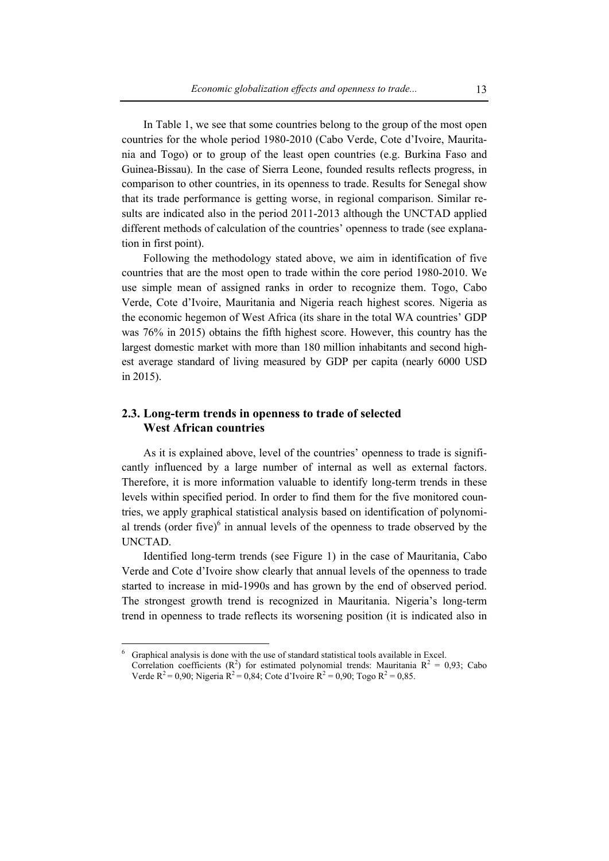In Table 1, we see that some countries belong to the group of the most open countries for the whole period 1980-2010 (Cabo Verde, Cote d'Ivoire, Mauritania and Togo) or to group of the least open countries (e.g. Burkina Faso and Guinea-Bissau). In the case of Sierra Leone, founded results reflects progress, in comparison to other countries, in its openness to trade. Results for Senegal show that its trade performance is getting worse, in regional comparison. Similar results are indicated also in the period 2011-2013 although the UNCTAD applied different methods of calculation of the countries' openness to trade (see explanation in first point).

Following the methodology stated above, we aim in identification of five countries that are the most open to trade within the core period 1980-2010. We use simple mean of assigned ranks in order to recognize them. Togo, Cabo Verde, Cote d'Ivoire, Mauritania and Nigeria reach highest scores. Nigeria as the economic hegemon of West Africa (its share in the total WA countries' GDP was 76% in 2015) obtains the fifth highest score. However, this country has the largest domestic market with more than 180 million inhabitants and second highest average standard of living measured by GDP per capita (nearly 6000 USD in 2015).

# **2.3. Long-term trends in openness to trade of selected West African countries**

As it is explained above, level of the countries' openness to trade is significantly influenced by a large number of internal as well as external factors. Therefore, it is more information valuable to identify long-term trends in these levels within specified period. In order to find them for the five monitored countries, we apply graphical statistical analysis based on identification of polynomial trends (order five) $6$  in annual levels of the openness to trade observed by the UNCTAD.

Identified long-term trends (see Figure 1) in the case of Mauritania, Cabo Verde and Cote d'Ivoire show clearly that annual levels of the openness to trade started to increase in mid-1990s and has grown by the end of observed period. The strongest growth trend is recognized in Mauritania. Nigeria's long-term trend in openness to trade reflects its worsening position (it is indicated also in

 $\overline{a}$ 

<sup>6</sup> Graphical analysis is done with the use of standard statistical tools available in Excel. Correlation coefficients ( $R^2$ ) for estimated polynomial trends: Mauritania  $R^2 = 0.93$ ; Cabo

Verde  $R^2 = 0.90$ ; Nigeria  $R^2 = 0.84$ ; Cote d'Ivoire  $R^2 = 0.90$ ; Togo  $R^2 = 0.85$ .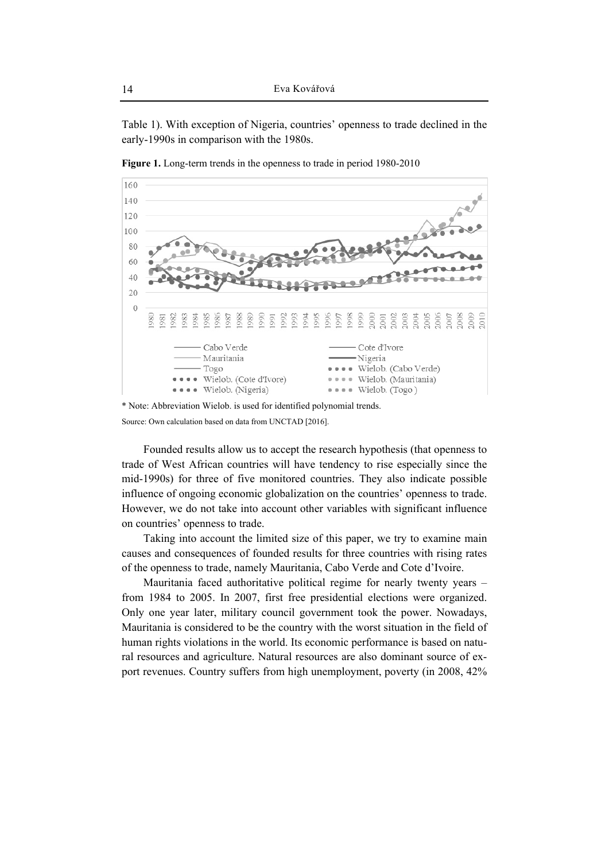Table 1). With exception of Nigeria, countries' openness to trade declined in the early-1990s in comparison with the 1980s.



**Figure 1.** Long-term trends in the openness to trade in period 1980-2010

\* Note: Abbreviation Wielob. is used for identified polynomial trends. Source: Own calculation based on data from UNCTAD [2016].

Founded results allow us to accept the research hypothesis (that openness to trade of West African countries will have tendency to rise especially since the mid-1990s) for three of five monitored countries. They also indicate possible influence of ongoing economic globalization on the countries' openness to trade. However, we do not take into account other variables with significant influence on countries' openness to trade.

Taking into account the limited size of this paper, we try to examine main causes and consequences of founded results for three countries with rising rates of the openness to trade, namely Mauritania, Cabo Verde and Cote d'Ivoire.

Mauritania faced authoritative political regime for nearly twenty years – from 1984 to 2005. In 2007, first free presidential elections were organized. Only one year later, military council government took the power. Nowadays, Mauritania is considered to be the country with the worst situation in the field of human rights violations in the world. Its economic performance is based on natural resources and agriculture. Natural resources are also dominant source of export revenues. Country suffers from high unemployment, poverty (in 2008, 42%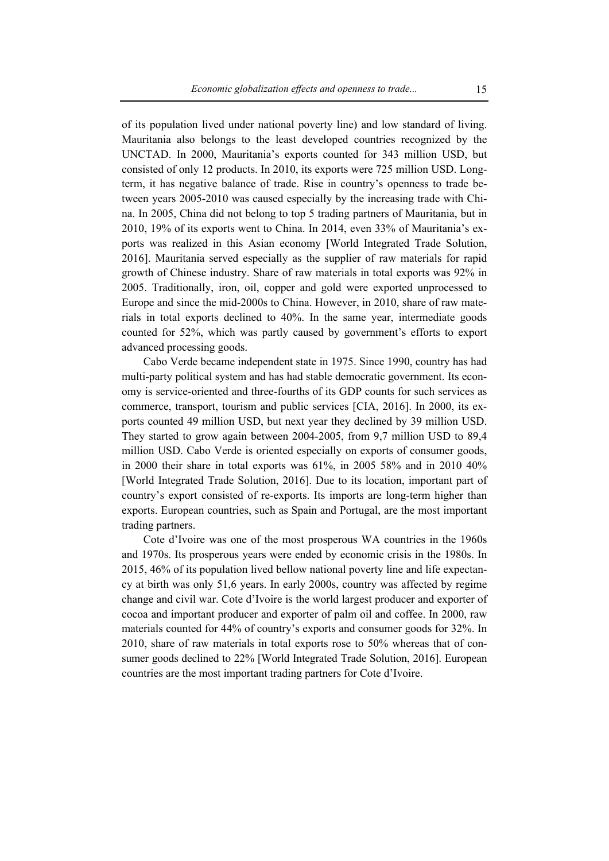of its population lived under national poverty line) and low standard of living. Mauritania also belongs to the least developed countries recognized by the UNCTAD. In 2000, Mauritania's exports counted for 343 million USD, but consisted of only 12 products. In 2010, its exports were 725 million USD. Longterm, it has negative balance of trade. Rise in country's openness to trade between years 2005-2010 was caused especially by the increasing trade with China. In 2005, China did not belong to top 5 trading partners of Mauritania, but in 2010, 19% of its exports went to China. In 2014, even 33% of Mauritania's exports was realized in this Asian economy [World Integrated Trade Solution, 2016]. Mauritania served especially as the supplier of raw materials for rapid growth of Chinese industry. Share of raw materials in total exports was 92% in 2005. Traditionally, iron, oil, copper and gold were exported unprocessed to Europe and since the mid-2000s to China. However, in 2010, share of raw materials in total exports declined to 40%. In the same year, intermediate goods counted for 52%, which was partly caused by government's efforts to export advanced processing goods.

Cabo Verde became independent state in 1975. Since 1990, country has had multi-party political system and has had stable democratic government. Its economy is service-oriented and three-fourths of its GDP counts for such services as commerce, transport, tourism and public services [CIA, 2016]. In 2000, its exports counted 49 million USD, but next year they declined by 39 million USD. They started to grow again between 2004-2005, from 9,7 million USD to 89,4 million USD. Cabo Verde is oriented especially on exports of consumer goods, in 2000 their share in total exports was 61%, in 2005 58% and in 2010 40% [World Integrated Trade Solution, 2016]. Due to its location, important part of country's export consisted of re-exports. Its imports are long-term higher than exports. European countries, such as Spain and Portugal, are the most important trading partners.

Cote d'Ivoire was one of the most prosperous WA countries in the 1960s and 1970s. Its prosperous years were ended by economic crisis in the 1980s. In 2015, 46% of its population lived bellow national poverty line and life expectancy at birth was only 51,6 years. In early 2000s, country was affected by regime change and civil war. Cote d'Ivoire is the world largest producer and exporter of cocoa and important producer and exporter of palm oil and coffee. In 2000, raw materials counted for 44% of country's exports and consumer goods for 32%. In 2010, share of raw materials in total exports rose to 50% whereas that of consumer goods declined to 22% [World Integrated Trade Solution, 2016]. European countries are the most important trading partners for Cote d'Ivoire.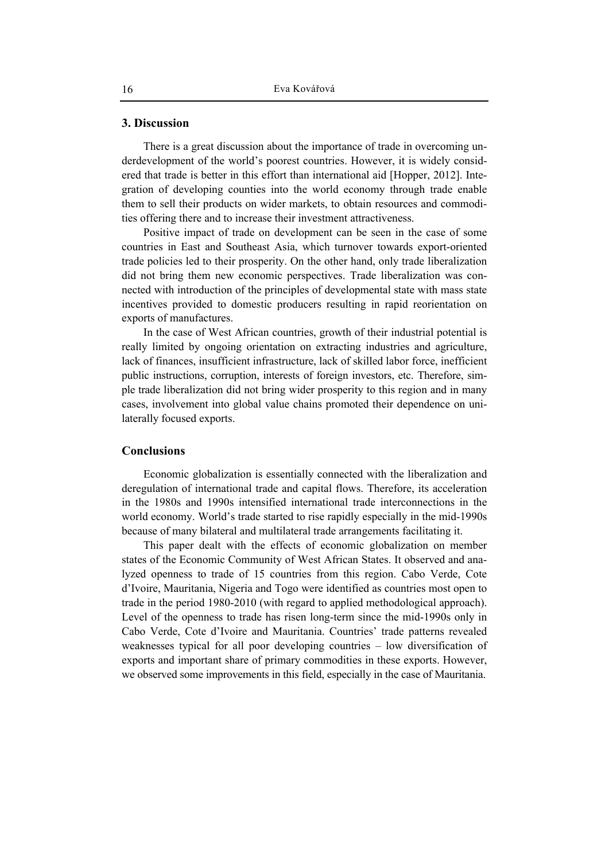### **3. Discussion**

There is a great discussion about the importance of trade in overcoming underdevelopment of the world's poorest countries. However, it is widely considered that trade is better in this effort than international aid [Hopper, 2012]. Integration of developing counties into the world economy through trade enable them to sell their products on wider markets, to obtain resources and commodities offering there and to increase their investment attractiveness.

Positive impact of trade on development can be seen in the case of some countries in East and Southeast Asia, which turnover towards export-oriented trade policies led to their prosperity. On the other hand, only trade liberalization did not bring them new economic perspectives. Trade liberalization was connected with introduction of the principles of developmental state with mass state incentives provided to domestic producers resulting in rapid reorientation on exports of manufactures.

In the case of West African countries, growth of their industrial potential is really limited by ongoing orientation on extracting industries and agriculture, lack of finances, insufficient infrastructure, lack of skilled labor force, inefficient public instructions, corruption, interests of foreign investors, etc. Therefore, simple trade liberalization did not bring wider prosperity to this region and in many cases, involvement into global value chains promoted their dependence on unilaterally focused exports.

### **Conclusions**

Economic globalization is essentially connected with the liberalization and deregulation of international trade and capital flows. Therefore, its acceleration in the 1980s and 1990s intensified international trade interconnections in the world economy. World's trade started to rise rapidly especially in the mid-1990s because of many bilateral and multilateral trade arrangements facilitating it.

This paper dealt with the effects of economic globalization on member states of the Economic Community of West African States. It observed and analyzed openness to trade of 15 countries from this region. Cabo Verde, Cote d'Ivoire, Mauritania, Nigeria and Togo were identified as countries most open to trade in the period 1980-2010 (with regard to applied methodological approach). Level of the openness to trade has risen long-term since the mid-1990s only in Cabo Verde, Cote d'Ivoire and Mauritania. Countries' trade patterns revealed weaknesses typical for all poor developing countries – low diversification of exports and important share of primary commodities in these exports. However, we observed some improvements in this field, especially in the case of Mauritania.